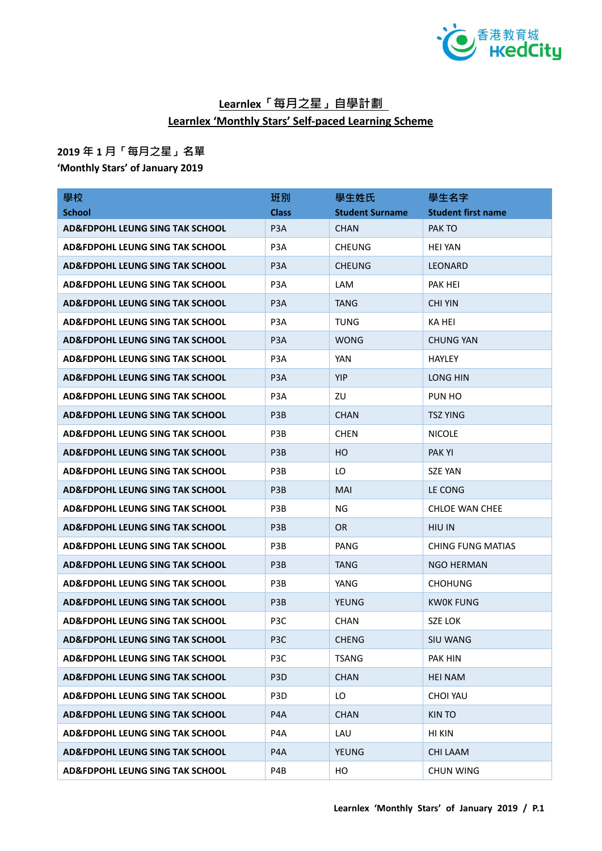

## **Learnlex「每月之星」自學計劃 Learnlex 'Monthly Stars' Self-paced Learning Scheme**

## **2019 年 1 月「每月之星」名單**

**'Monthly Stars' of January 2019**

| 學校                                         | 班別               | 學生姓氏                   | 學生名字                      |
|--------------------------------------------|------------------|------------------------|---------------------------|
| <b>School</b>                              | <b>Class</b>     | <b>Student Surname</b> | <b>Student first name</b> |
| AD&FDPOHL LEUNG SING TAK SCHOOL            | P <sub>3</sub> A | <b>CHAN</b>            | PAK TO                    |
| AD&FDPOHL LEUNG SING TAK SCHOOL            | P3A              | <b>CHEUNG</b>          | <b>HEI YAN</b>            |
| <b>AD&amp;FDPOHL LEUNG SING TAK SCHOOL</b> | P <sub>3</sub> A | <b>CHEUNG</b>          | <b>LEONARD</b>            |
| <b>AD&amp;FDPOHL LEUNG SING TAK SCHOOL</b> | P <sub>3</sub> A | <b>LAM</b>             | PAK HEI                   |
| <b>AD&amp;FDPOHL LEUNG SING TAK SCHOOL</b> | P <sub>3</sub> A | <b>TANG</b>            | <b>CHI YIN</b>            |
| <b>AD&amp;FDPOHL LEUNG SING TAK SCHOOL</b> | P <sub>3</sub> A | <b>TUNG</b>            | KA HEI                    |
| AD&FDPOHL LEUNG SING TAK SCHOOL            | P <sub>3</sub> A | <b>WONG</b>            | <b>CHUNG YAN</b>          |
| AD&FDPOHL LEUNG SING TAK SCHOOL            | P <sub>3</sub> A | YAN                    | <b>HAYLEY</b>             |
| AD&FDPOHL LEUNG SING TAK SCHOOL            | P <sub>3</sub> A | <b>YIP</b>             | LONG HIN                  |
| AD&FDPOHL LEUNG SING TAK SCHOOL            | P3A              | ZU                     | PUN HO                    |
| AD&FDPOHL LEUNG SING TAK SCHOOL            | P <sub>3</sub> B | <b>CHAN</b>            | <b>TSZ YING</b>           |
| <b>AD&amp;FDPOHL LEUNG SING TAK SCHOOL</b> | P <sub>3</sub> B | <b>CHEN</b>            | <b>NICOLE</b>             |
| <b>AD&amp;FDPOHL LEUNG SING TAK SCHOOL</b> | P <sub>3</sub> B | HO                     | <b>PAKYI</b>              |
| <b>AD&amp;FDPOHL LEUNG SING TAK SCHOOL</b> | P <sub>3</sub> B | LO                     | <b>SZE YAN</b>            |
| <b>AD&amp;FDPOHL LEUNG SING TAK SCHOOL</b> | P <sub>3</sub> B | <b>MAI</b>             | LE CONG                   |
| AD&FDPOHL LEUNG SING TAK SCHOOL            | P3B              | NG.                    | <b>CHLOE WAN CHEE</b>     |
| <b>AD&amp;FDPOHL LEUNG SING TAK SCHOOL</b> | P <sub>3</sub> B | <b>OR</b>              | <b>HIU IN</b>             |
| AD&FDPOHL LEUNG SING TAK SCHOOL            | P <sub>3</sub> B | PANG                   | <b>CHING FUNG MATIAS</b>  |
| <b>AD&amp;FDPOHL LEUNG SING TAK SCHOOL</b> | P <sub>3</sub> B | <b>TANG</b>            | <b>NGO HERMAN</b>         |
| AD&FDPOHL LEUNG SING TAK SCHOOL            | P <sub>3</sub> B | YANG                   | <b>CHOHUNG</b>            |
| <b>AD&amp;FDPOHL LEUNG SING TAK SCHOOL</b> | P <sub>3</sub> B | <b>YEUNG</b>           | KW0K FUNG                 |
| <b>AD&amp;FDPOHL LEUNG SING TAK SCHOOL</b> | P3C              | <b>CHAN</b>            | SZE LOK                   |
| AD&FDPOHL LEUNG SING TAK SCHOOL            | P3C              | <b>CHENG</b>           | SIU WANG                  |
| AD&FDPOHL LEUNG SING TAK SCHOOL            | P <sub>3</sub> C | TSANG                  | PAK HIN                   |
| AD&FDPOHL LEUNG SING TAK SCHOOL            | P <sub>3</sub> D | <b>CHAN</b>            | <b>HEI NAM</b>            |
| AD&FDPOHL LEUNG SING TAK SCHOOL            | P3D              | LO                     | <b>CHOI YAU</b>           |
| <b>AD&amp;FDPOHL LEUNG SING TAK SCHOOL</b> | P4A              | <b>CHAN</b>            | <b>KIN TO</b>             |
| <b>AD&amp;FDPOHL LEUNG SING TAK SCHOOL</b> | P4A              | LAU                    | HI KIN                    |
| <b>AD&amp;FDPOHL LEUNG SING TAK SCHOOL</b> | P4A              | <b>YEUNG</b>           | <b>CHI LAAM</b>           |
| AD&FDPOHL LEUNG SING TAK SCHOOL            | P4B              | HO                     | <b>CHUN WING</b>          |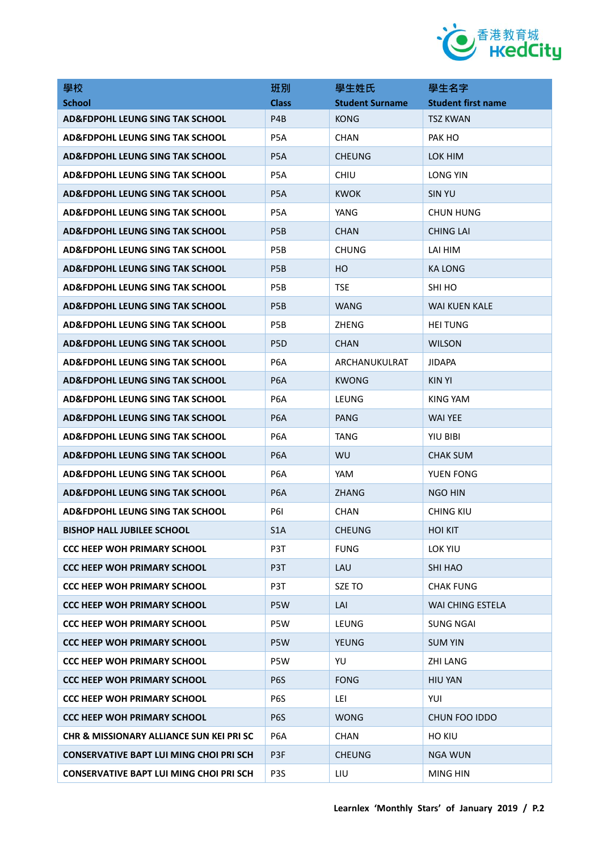

| 學校                                             | 班別               | 學生姓氏                   | 學生名字                      |
|------------------------------------------------|------------------|------------------------|---------------------------|
| <b>School</b>                                  | <b>Class</b>     | <b>Student Surname</b> | <b>Student first name</b> |
| AD&FDPOHL LEUNG SING TAK SCHOOL                | P <sub>4</sub> B | <b>KONG</b>            | TSZ KWAN                  |
| <b>AD&amp;FDPOHL LEUNG SING TAK SCHOOL</b>     | P5A              | <b>CHAN</b>            | PAK HO                    |
| AD&FDPOHL LEUNG SING TAK SCHOOL                | P <sub>5</sub> A | <b>CHEUNG</b>          | LOK HIM                   |
| AD&FDPOHL LEUNG SING TAK SCHOOL                | P <sub>5</sub> A | <b>CHIU</b>            | LONG YIN                  |
| AD&FDPOHL LEUNG SING TAK SCHOOL                | P <sub>5</sub> A | <b>KWOK</b>            | <b>SIN YU</b>             |
| <b>AD&amp;FDPOHL LEUNG SING TAK SCHOOL</b>     | P <sub>5</sub> A | YANG                   | <b>CHUN HUNG</b>          |
| AD&FDPOHL LEUNG SING TAK SCHOOL                | P <sub>5</sub> B | <b>CHAN</b>            | CHING LAI                 |
| AD&FDPOHL LEUNG SING TAK SCHOOL                | P <sub>5</sub> B | <b>CHUNG</b>           | LAI HIM                   |
| AD&FDPOHL LEUNG SING TAK SCHOOL                | P <sub>5</sub> B | HО                     | <b>KA LONG</b>            |
| <b>AD&amp;FDPOHL LEUNG SING TAK SCHOOL</b>     | P <sub>5</sub> B | TSE.                   | SHI HO                    |
| AD&FDPOHL LEUNG SING TAK SCHOOL                | P <sub>5</sub> B | <b>WANG</b>            | <b>WAI KUEN KALE</b>      |
| <b>AD&amp;FDPOHL LEUNG SING TAK SCHOOL</b>     | P <sub>5</sub> B | ZHENG                  | <b>HEI TUNG</b>           |
| AD&FDPOHL LEUNG SING TAK SCHOOL                | P <sub>5</sub> D | <b>CHAN</b>            | <b>WILSON</b>             |
| AD&FDPOHL LEUNG SING TAK SCHOOL                | P <sub>6</sub> A | ARCHANUKULRAT          | <b>JIDAPA</b>             |
| <b>AD&amp;FDPOHL LEUNG SING TAK SCHOOL</b>     | P <sub>6</sub> A | <b>KWONG</b>           | <b>KIN YI</b>             |
| AD&FDPOHL LEUNG SING TAK SCHOOL                | P <sub>6</sub> A | LEUNG                  | KING YAM                  |
| AD&FDPOHL LEUNG SING TAK SCHOOL                | P <sub>6</sub> A | PANG                   | WAI YEE                   |
| <b>AD&amp;FDPOHL LEUNG SING TAK SCHOOL</b>     | P <sub>6</sub> A | TANG                   | YIU BIBI                  |
| AD&FDPOHL LEUNG SING TAK SCHOOL                | P <sub>6</sub> A | <b>WU</b>              | <b>CHAK SUM</b>           |
| AD&FDPOHL LEUNG SING TAK SCHOOL                | P <sub>6</sub> A | YAM                    | YUEN FONG                 |
| <b>AD&amp;FDPOHL LEUNG SING TAK SCHOOL</b>     | P <sub>6</sub> A | <b>ZHANG</b>           | <b>NGO HIN</b>            |
| AD&FDPOHL LEUNG SING TAK SCHOOL                | <b>P61</b>       | <b>CHAN</b>            | CHING KIU                 |
| <b>BISHOP HALL JUBILEE SCHOOL</b>              | S <sub>1</sub> A | <b>CHEUNG</b>          | <b>HOI KIT</b>            |
| <b>CCC HEEP WOH PRIMARY SCHOOL</b>             | P3T              | <b>FUNG</b>            | LOK YIU                   |
| <b>CCC HEEP WOH PRIMARY SCHOOL</b>             | P3T              | LAU                    | SHI HAO                   |
| <b>CCC HEEP WOH PRIMARY SCHOOL</b>             | P3T              | SZE TO                 | <b>CHAK FUNG</b>          |
| <b>CCC HEEP WOH PRIMARY SCHOOL</b>             | P5W              | LAI                    | WAI CHING ESTELA          |
| <b>CCC HEEP WOH PRIMARY SCHOOL</b>             | P5W              | LEUNG                  | <b>SUNG NGAI</b>          |
| <b>CCC HEEP WOH PRIMARY SCHOOL</b>             | P5W              | <b>YEUNG</b>           | <b>SUM YIN</b>            |
| <b>CCC HEEP WOH PRIMARY SCHOOL</b>             | P5W              | YU                     | <b>ZHI LANG</b>           |
| <b>CCC HEEP WOH PRIMARY SCHOOL</b>             | P <sub>6</sub> S | <b>FONG</b>            | <b>HIU YAN</b>            |
| <b>CCC HEEP WOH PRIMARY SCHOOL</b>             | P6S              | LEI                    | YUI                       |
| <b>CCC HEEP WOH PRIMARY SCHOOL</b>             | P <sub>6</sub> S | <b>WONG</b>            | CHUN FOO IDDO             |
| CHR & MISSIONARY ALLIANCE SUN KEI PRI SC       | P <sub>6</sub> A | CHAN                   | HO KIU                    |
| <b>CONSERVATIVE BAPT LUI MING CHOI PRI SCH</b> | P3F              | <b>CHEUNG</b>          | <b>NGA WUN</b>            |
| <b>CONSERVATIVE BAPT LUI MING CHOI PRI SCH</b> | P3S              | LIU                    | MING HIN                  |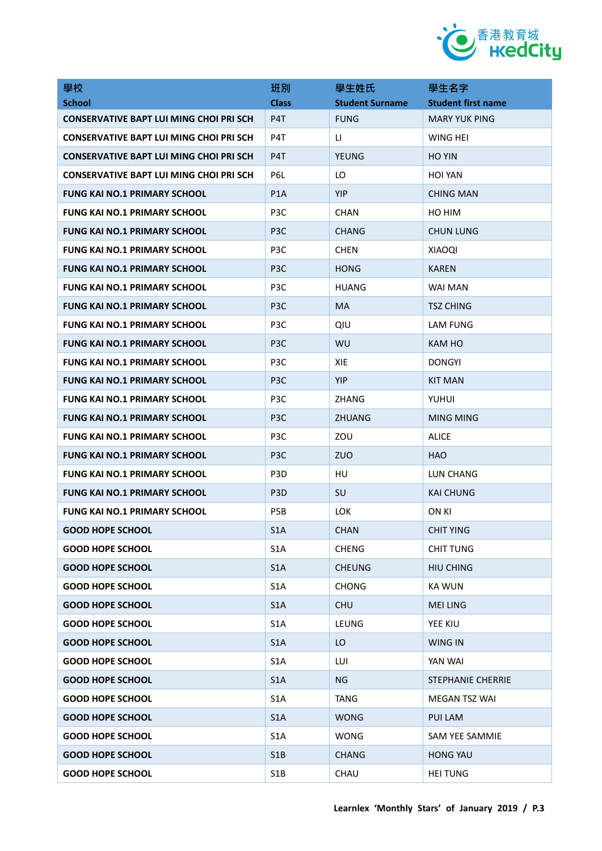

| 學校                                             | 班別               | 學生姓氏                   | 學生名字                      |
|------------------------------------------------|------------------|------------------------|---------------------------|
| <b>School</b>                                  | <b>Class</b>     | <b>Student Surname</b> | <b>Student first name</b> |
| <b>CONSERVATIVE BAPT LUI MING CHOI PRI SCH</b> | P4T              | <b>FUNG</b>            | <b>MARY YUK PING</b>      |
| <b>CONSERVATIVE BAPT LUI MING CHOI PRI SCH</b> | P4T              | LI.                    | WING HEI                  |
| <b>CONSERVATIVE BAPT LUI MING CHOI PRI SCH</b> | P4T              | <b>YEUNG</b>           | <b>HO YIN</b>             |
| <b>CONSERVATIVE BAPT LUI MING CHOI PRI SCH</b> | P6L              | LO                     | HOI YAN                   |
| <b>FUNG KAI NO.1 PRIMARY SCHOOL</b>            | P <sub>1</sub> A | <b>YIP</b>             | <b>CHING MAN</b>          |
| <b>FUNG KAI NO.1 PRIMARY SCHOOL</b>            | P <sub>3</sub> C | <b>CHAN</b>            | HO HIM                    |
| <b>FUNG KAI NO.1 PRIMARY SCHOOL</b>            | P <sub>3</sub> C | CHANG                  | <b>CHUN LUNG</b>          |
| <b>FUNG KAI NO.1 PRIMARY SCHOOL</b>            | P3C              | <b>CHEN</b>            | <b>XIAOQI</b>             |
| <b>FUNG KAI NO.1 PRIMARY SCHOOL</b>            | P <sub>3</sub> C | <b>HONG</b>            | <b>KAREN</b>              |
| <b>FUNG KAI NO.1 PRIMARY SCHOOL</b>            | P3C              | <b>HUANG</b>           | WAI MAN                   |
| <b>FUNG KAI NO.1 PRIMARY SCHOOL</b>            | P <sub>3</sub> C | MA                     | <b>TSZ CHING</b>          |
| <b>FUNG KAI NO.1 PRIMARY SCHOOL</b>            | P3C              | QIU                    | LAM FUNG                  |
| <b>FUNG KAI NO.1 PRIMARY SCHOOL</b>            | P <sub>3</sub> C | WU                     | KAM HO                    |
| <b>FUNG KAI NO.1 PRIMARY SCHOOL</b>            | P3C              | XIE.                   | <b>DONGYI</b>             |
| <b>FUNG KAI NO.1 PRIMARY SCHOOL</b>            | P <sub>3</sub> C | <b>YIP</b>             | <b>KIT MAN</b>            |
| <b>FUNG KAI NO.1 PRIMARY SCHOOL</b>            | P <sub>3</sub> C | <b>ZHANG</b>           | YUHUI                     |
| <b>FUNG KAI NO.1 PRIMARY SCHOOL</b>            | P <sub>3</sub> C | <b>ZHUANG</b>          | <b>MING MING</b>          |
| <b>FUNG KAI NO.1 PRIMARY SCHOOL</b>            | P <sub>3</sub> C | ZOU                    | <b>ALICE</b>              |
| <b>FUNG KAI NO.1 PRIMARY SCHOOL</b>            | P <sub>3</sub> C | <b>ZUO</b>             | <b>HAO</b>                |
| <b>FUNG KAI NO.1 PRIMARY SCHOOL</b>            | P <sub>3</sub> D | HU                     | LUN CHANG                 |
| <b>FUNG KAI NO.1 PRIMARY SCHOOL</b>            | P <sub>3</sub> D | SU                     | <b>KAI CHUNG</b>          |
| <b>FUNG KAI NO.1 PRIMARY SCHOOL</b>            | P <sub>5</sub> B | LOK.                   | ON KI                     |
| <b>GOOD HOPE SCHOOL</b>                        | S <sub>1</sub> A | <b>CHAN</b>            | <b>CHIT YING</b>          |
| <b>GOOD HOPE SCHOOL</b>                        | S <sub>1</sub> A | <b>CHENG</b>           | <b>CHIT TUNG</b>          |
| <b>GOOD HOPE SCHOOL</b>                        | S1A              | <b>CHEUNG</b>          | <b>HIU CHING</b>          |
| <b>GOOD HOPE SCHOOL</b>                        | S <sub>1</sub> A | <b>CHONG</b>           | <b>KA WUN</b>             |
| <b>GOOD HOPE SCHOOL</b>                        | S1A              | <b>CHU</b>             | <b>MEI LING</b>           |
| <b>GOOD HOPE SCHOOL</b>                        | S <sub>1</sub> A | LEUNG                  | YEE KIU                   |
| <b>GOOD HOPE SCHOOL</b>                        | S1A              | LO                     | <b>WING IN</b>            |
| <b>GOOD HOPE SCHOOL</b>                        | S <sub>1</sub> A | LUI                    | YAN WAI                   |
| <b>GOOD HOPE SCHOOL</b>                        | S <sub>1</sub> A | NG                     | <b>STEPHANIE CHERRIE</b>  |
| <b>GOOD HOPE SCHOOL</b>                        | S <sub>1</sub> A | <b>TANG</b>            | MEGAN TSZ WAI             |
| <b>GOOD HOPE SCHOOL</b>                        | S <sub>1</sub> A | <b>WONG</b>            | PUI LAM                   |
| <b>GOOD HOPE SCHOOL</b>                        | S <sub>1</sub> A | WONG                   | SAM YEE SAMMIE            |
| <b>GOOD HOPE SCHOOL</b>                        | S1B              | <b>CHANG</b>           | <b>HONG YAU</b>           |
| <b>GOOD HOPE SCHOOL</b>                        | S1B              | CHAU                   | <b>HEI TUNG</b>           |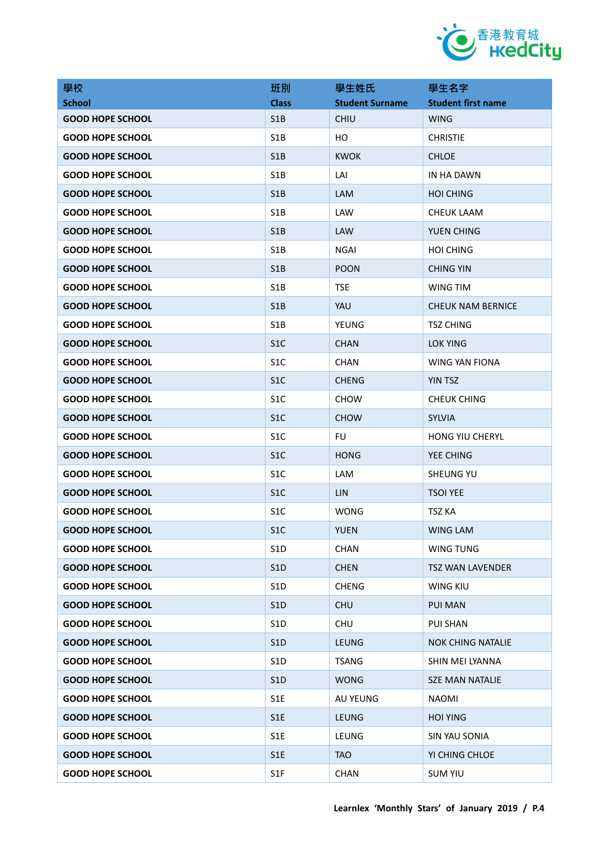

| 學校                      | 班別               | 學生姓氏                   | 學生名字                      |
|-------------------------|------------------|------------------------|---------------------------|
| <b>School</b>           | <b>Class</b>     | <b>Student Surname</b> | <b>Student first name</b> |
| <b>GOOD HOPE SCHOOL</b> | S <sub>1</sub> B | <b>CHIU</b>            | <b>WING</b>               |
| <b>GOOD HOPE SCHOOL</b> | S <sub>1</sub> B | HO                     | <b>CHRISTIE</b>           |
| <b>GOOD HOPE SCHOOL</b> | S1B              | <b>KWOK</b>            | <b>CHLOE</b>              |
| <b>GOOD HOPE SCHOOL</b> | S <sub>1</sub> B | LAI                    | IN HA DAWN                |
| <b>GOOD HOPE SCHOOL</b> | S1B              | LAM                    | <b>HOI CHING</b>          |
| <b>GOOD HOPE SCHOOL</b> | S <sub>1</sub> B | LAW                    | CHEUK LAAM                |
| <b>GOOD HOPE SCHOOL</b> | S <sub>1</sub> B | <b>LAW</b>             | YUEN CHING                |
| <b>GOOD HOPE SCHOOL</b> | S <sub>1</sub> B | <b>NGAI</b>            | <b>HOI CHING</b>          |
| <b>GOOD HOPE SCHOOL</b> | S1B              | <b>POON</b>            | <b>CHING YIN</b>          |
| <b>GOOD HOPE SCHOOL</b> | S <sub>1</sub> B | <b>TSE</b>             | WING TIM                  |
| <b>GOOD HOPE SCHOOL</b> | S <sub>1</sub> B | YAU                    | <b>CHEUK NAM BERNICE</b>  |
| <b>GOOD HOPE SCHOOL</b> | S <sub>1</sub> B | <b>YEUNG</b>           | <b>TSZ CHING</b>          |
| <b>GOOD HOPE SCHOOL</b> | S <sub>1</sub> C | <b>CHAN</b>            | LOK YING                  |
| <b>GOOD HOPE SCHOOL</b> | S <sub>1</sub> C | <b>CHAN</b>            | <b>WING YAN FIONA</b>     |
| <b>GOOD HOPE SCHOOL</b> | S <sub>1</sub> C | <b>CHENG</b>           | <b>YIN TSZ</b>            |
| <b>GOOD HOPE SCHOOL</b> | S <sub>1</sub> C | <b>CHOW</b>            | <b>CHEUK CHING</b>        |
| <b>GOOD HOPE SCHOOL</b> | S <sub>1</sub> C | <b>CHOW</b>            | <b>SYLVIA</b>             |
| <b>GOOD HOPE SCHOOL</b> | S <sub>1</sub> C | <b>FU</b>              | <b>HONG YIU CHERYL</b>    |
| <b>GOOD HOPE SCHOOL</b> | S <sub>1</sub> C | <b>HONG</b>            | YEE CHING                 |
| <b>GOOD HOPE SCHOOL</b> | S <sub>1</sub> C | LAM                    | <b>SHEUNG YU</b>          |
| <b>GOOD HOPE SCHOOL</b> | S <sub>1</sub> C | LIN.                   | <b>TSOI YEE</b>           |
| <b>GOOD HOPE SCHOOL</b> | S <sub>1</sub> C | <b>WONG</b>            | TSZ KA                    |
| <b>GOOD HOPE SCHOOL</b> | S <sub>1</sub> C | <b>YUEN</b>            | <b>WING LAM</b>           |
| <b>GOOD HOPE SCHOOL</b> | S <sub>1</sub> D | <b>CHAN</b>            | WING TUNG                 |
| <b>GOOD HOPE SCHOOL</b> | S1D              | <b>CHEN</b>            | <b>TSZ WAN LAVENDER</b>   |
| <b>GOOD HOPE SCHOOL</b> | S <sub>1</sub> D | <b>CHENG</b>           | <b>WING KIU</b>           |
| <b>GOOD HOPE SCHOOL</b> | S1D              | <b>CHU</b>             | PUI MAN                   |
| <b>GOOD HOPE SCHOOL</b> | S1D              | <b>CHU</b>             | PUI SHAN                  |
| <b>GOOD HOPE SCHOOL</b> | S <sub>1</sub> D | <b>LEUNG</b>           | <b>NOK CHING NATALIE</b>  |
| <b>GOOD HOPE SCHOOL</b> | S <sub>1</sub> D | <b>TSANG</b>           | SHIN MEI LYANNA           |
| <b>GOOD HOPE SCHOOL</b> | S <sub>1</sub> D | <b>WONG</b>            | <b>SZE MAN NATALIE</b>    |
| <b>GOOD HOPE SCHOOL</b> | S1E              | <b>AU YEUNG</b>        | <b>NAOMI</b>              |
| <b>GOOD HOPE SCHOOL</b> | S1E              | LEUNG                  | <b>HOI YING</b>           |
| <b>GOOD HOPE SCHOOL</b> | S1E              | LEUNG                  | SIN YAU SONIA             |
| <b>GOOD HOPE SCHOOL</b> | S1E              | <b>TAO</b>             | YI CHING CHLOE            |
| <b>GOOD HOPE SCHOOL</b> | S1F              | CHAN                   | <b>SUM YIU</b>            |
|                         |                  |                        |                           |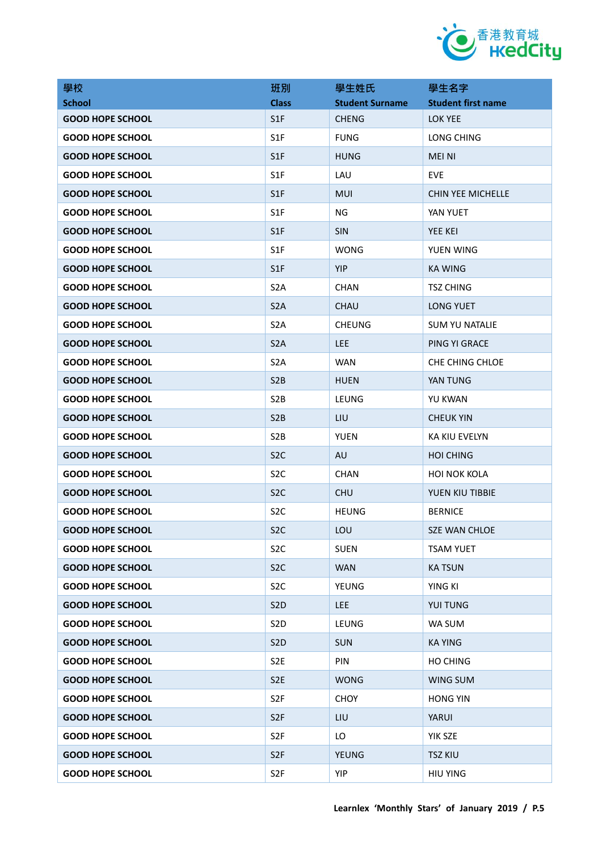

| 學校                      | 班別               | 學生姓氏                   | 學生名字                      |
|-------------------------|------------------|------------------------|---------------------------|
| <b>School</b>           | <b>Class</b>     | <b>Student Surname</b> | <b>Student first name</b> |
| <b>GOOD HOPE SCHOOL</b> | S <sub>1</sub> F | <b>CHENG</b>           | <b>LOK YEE</b>            |
| <b>GOOD HOPE SCHOOL</b> | S <sub>1</sub> F | <b>FUNG</b>            | LONG CHING                |
| <b>GOOD HOPE SCHOOL</b> | S <sub>1</sub> F | <b>HUNG</b>            | <b>MEI NI</b>             |
| <b>GOOD HOPE SCHOOL</b> | S <sub>1F</sub>  | LAU                    | EVE                       |
| <b>GOOD HOPE SCHOOL</b> | S <sub>1</sub> F | MUI                    | CHIN YEE MICHELLE         |
| <b>GOOD HOPE SCHOOL</b> | S <sub>1F</sub>  | <b>NG</b>              | YAN YUET                  |
| <b>GOOD HOPE SCHOOL</b> | S <sub>1</sub> F | <b>SIN</b>             | <b>YEE KEI</b>            |
| <b>GOOD HOPE SCHOOL</b> | S <sub>1</sub> F | <b>WONG</b>            | YUEN WING                 |
| <b>GOOD HOPE SCHOOL</b> | S <sub>1</sub> F | <b>YIP</b>             | <b>KA WING</b>            |
| <b>GOOD HOPE SCHOOL</b> | S <sub>2</sub> A | <b>CHAN</b>            | <b>TSZ CHING</b>          |
| <b>GOOD HOPE SCHOOL</b> | S <sub>2</sub> A | <b>CHAU</b>            | <b>LONG YUET</b>          |
| <b>GOOD HOPE SCHOOL</b> | S <sub>2</sub> A | <b>CHEUNG</b>          | <b>SUM YU NATALIE</b>     |
| <b>GOOD HOPE SCHOOL</b> | S <sub>2</sub> A | <b>LEE</b>             | PING YI GRACE             |
| <b>GOOD HOPE SCHOOL</b> | S <sub>2</sub> A | <b>WAN</b>             | CHE CHING CHLOE           |
| <b>GOOD HOPE SCHOOL</b> | S <sub>2</sub> B | <b>HUEN</b>            | YAN TUNG                  |
| <b>GOOD HOPE SCHOOL</b> | S <sub>2</sub> B | LEUNG                  | YU KWAN                   |
| <b>GOOD HOPE SCHOOL</b> | S <sub>2</sub> B | LIU                    | <b>CHEUK YIN</b>          |
| <b>GOOD HOPE SCHOOL</b> | S <sub>2</sub> B | <b>YUEN</b>            | KA KIU EVELYN             |
| <b>GOOD HOPE SCHOOL</b> | S <sub>2</sub> C | <b>AU</b>              | <b>HOI CHING</b>          |
| <b>GOOD HOPE SCHOOL</b> | S <sub>2</sub> C | <b>CHAN</b>            | <b>HOI NOK KOLA</b>       |
| <b>GOOD HOPE SCHOOL</b> | S <sub>2</sub> C | <b>CHU</b>             | YUEN KIU TIBBIE           |
| <b>GOOD HOPE SCHOOL</b> | S <sub>2</sub> C | <b>HEUNG</b>           | <b>BERNICE</b>            |
| <b>GOOD HOPE SCHOOL</b> | S <sub>2</sub> C | LOU                    | <b>SZE WAN CHLOE</b>      |
| <b>GOOD HOPE SCHOOL</b> | S <sub>2</sub> C | <b>SUEN</b>            | <b>TSAM YUET</b>          |
| <b>GOOD HOPE SCHOOL</b> | S <sub>2</sub> C | <b>WAN</b>             | <b>KA TSUN</b>            |
| <b>GOOD HOPE SCHOOL</b> | S <sub>2</sub> C | YEUNG                  | YING KI                   |
| <b>GOOD HOPE SCHOOL</b> | S <sub>2</sub> D | <b>LEE</b>             | <b>YUI TUNG</b>           |
| <b>GOOD HOPE SCHOOL</b> | S <sub>2</sub> D | LEUNG                  | WA SUM                    |
| <b>GOOD HOPE SCHOOL</b> | S <sub>2</sub> D | <b>SUN</b>             | <b>KA YING</b>            |
| <b>GOOD HOPE SCHOOL</b> | S <sub>2E</sub>  | PIN                    | HO CHING                  |
| <b>GOOD HOPE SCHOOL</b> | S <sub>2E</sub>  | <b>WONG</b>            | WING SUM                  |
| <b>GOOD HOPE SCHOOL</b> | S <sub>2F</sub>  | <b>CHOY</b>            | <b>HONG YIN</b>           |
| <b>GOOD HOPE SCHOOL</b> | S <sub>2F</sub>  | LIU                    | YARUI                     |
| <b>GOOD HOPE SCHOOL</b> | S <sub>2F</sub>  | LO                     | YIK SZE                   |
| <b>GOOD HOPE SCHOOL</b> | S <sub>2F</sub>  | YEUNG                  | <b>TSZ KIU</b>            |
| <b>GOOD HOPE SCHOOL</b> | S <sub>2F</sub>  | YIP                    | <b>HIU YING</b>           |
|                         |                  |                        |                           |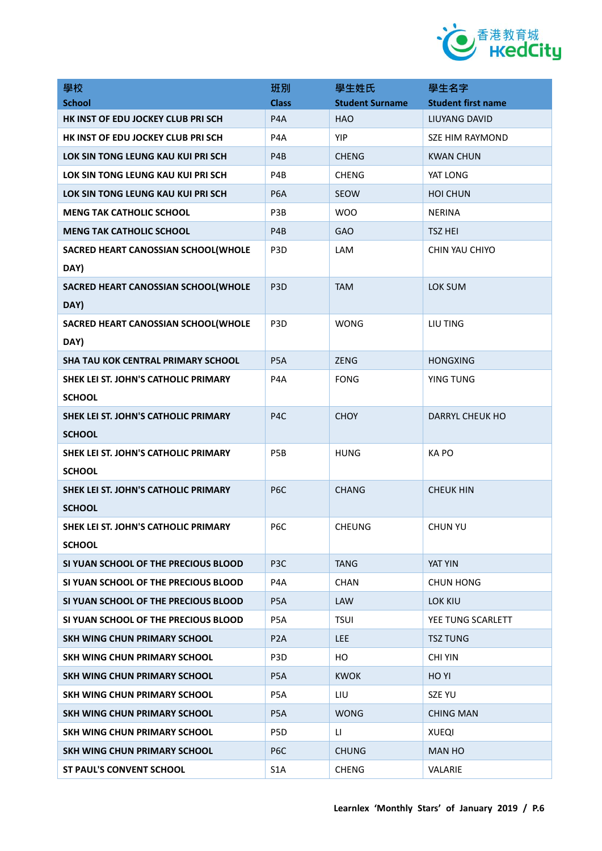

| 學校                                                    | 班別               | 學生姓氏                   | 學生名字                      |
|-------------------------------------------------------|------------------|------------------------|---------------------------|
| <b>School</b>                                         | <b>Class</b>     | <b>Student Surname</b> | <b>Student first name</b> |
| HK INST OF EDU JOCKEY CLUB PRI SCH                    | P <sub>4</sub> A | <b>HAO</b>             | <b>LIUYANG DAVID</b>      |
| HK INST OF EDU JOCKEY CLUB PRI SCH                    | P4A              | <b>YIP</b>             | SZE HIM RAYMOND           |
| LOK SIN TONG LEUNG KAU KUI PRI SCH                    | P <sub>4</sub> B | <b>CHENG</b>           | <b>KWAN CHUN</b>          |
| LOK SIN TONG LEUNG KAU KUI PRI SCH                    | P4B              | <b>CHENG</b>           | YAT LONG                  |
| LOK SIN TONG LEUNG KAU KUI PRI SCH                    | P <sub>6</sub> A | <b>SEOW</b>            | <b>HOI CHUN</b>           |
| <b>MENG TAK CATHOLIC SCHOOL</b>                       | P3B              | <b>WOO</b>             | <b>NERINA</b>             |
| <b>MENG TAK CATHOLIC SCHOOL</b>                       | P <sub>4</sub> B | GAO                    | <b>TSZ HEI</b>            |
| SACRED HEART CANOSSIAN SCHOOL(WHOLE                   | P <sub>3</sub> D | LAM                    | CHIN YAU CHIYO            |
| DAY)                                                  |                  |                        |                           |
| SACRED HEART CANOSSIAN SCHOOL(WHOLE<br>DAY)           | P <sub>3</sub> D | <b>TAM</b>             | LOK SUM                   |
| SACRED HEART CANOSSIAN SCHOOL(WHOLE                   | P <sub>3</sub> D | <b>WONG</b>            | LIU TING                  |
| DAY)                                                  |                  |                        |                           |
| <b>SHA TAU KOK CENTRAL PRIMARY SCHOOL</b>             | P <sub>5</sub> A | <b>ZENG</b>            | <b>HONGXING</b>           |
| SHEK LEI ST. JOHN'S CATHOLIC PRIMARY                  | P4A              | <b>FONG</b>            | <b>YING TUNG</b>          |
| <b>SCHOOL</b>                                         |                  |                        |                           |
| SHEK LEI ST. JOHN'S CATHOLIC PRIMARY<br><b>SCHOOL</b> | P4C              | <b>CHOY</b>            | DARRYL CHEUK HO           |
| SHEK LEI ST. JOHN'S CATHOLIC PRIMARY                  | P5B              | <b>HUNG</b>            | KA PO                     |
| <b>SCHOOL</b>                                         |                  |                        |                           |
| SHEK LEI ST. JOHN'S CATHOLIC PRIMARY                  | P <sub>6</sub> C | <b>CHANG</b>           | <b>CHEUK HIN</b>          |
| <b>SCHOOL</b>                                         |                  |                        |                           |
| SHEK LEI ST. JOHN'S CATHOLIC PRIMARY<br><b>SCHOOL</b> | P <sub>6</sub> C | <b>CHEUNG</b>          | <b>CHUN YU</b>            |
| SI YUAN SCHOOL OF THE PRECIOUS BLOOD                  | P <sub>3</sub> C | <b>TANG</b>            | YAT YIN                   |
| SI YUAN SCHOOL OF THE PRECIOUS BLOOD                  | P <sub>4</sub> A | <b>CHAN</b>            | <b>CHUN HONG</b>          |
| SI YUAN SCHOOL OF THE PRECIOUS BLOOD                  | P <sub>5</sub> A | LAW                    | LOK KIU                   |
| SI YUAN SCHOOL OF THE PRECIOUS BLOOD                  | P <sub>5</sub> A | <b>TSUI</b>            | YEE TUNG SCARLETT         |
| SKH WING CHUN PRIMARY SCHOOL                          | P <sub>2</sub> A | <b>LEE</b>             | <b>TSZ TUNG</b>           |
| SKH WING CHUN PRIMARY SCHOOL                          | P <sub>3</sub> D | HO                     | <b>CHI YIN</b>            |
| SKH WING CHUN PRIMARY SCHOOL                          | P <sub>5</sub> A | <b>KWOK</b>            | HO YI                     |
| SKH WING CHUN PRIMARY SCHOOL                          | P5A              | LIU                    | SZE YU                    |
| SKH WING CHUN PRIMARY SCHOOL                          | P <sub>5</sub> A | <b>WONG</b>            | <b>CHING MAN</b>          |
| SKH WING CHUN PRIMARY SCHOOL                          | P5D              | u                      | <b>XUEQI</b>              |
| SKH WING CHUN PRIMARY SCHOOL                          | P <sub>6</sub> C | <b>CHUNG</b>           | <b>MAN HO</b>             |
| <b>ST PAUL'S CONVENT SCHOOL</b>                       | S <sub>1</sub> A | <b>CHENG</b>           | VALARIE                   |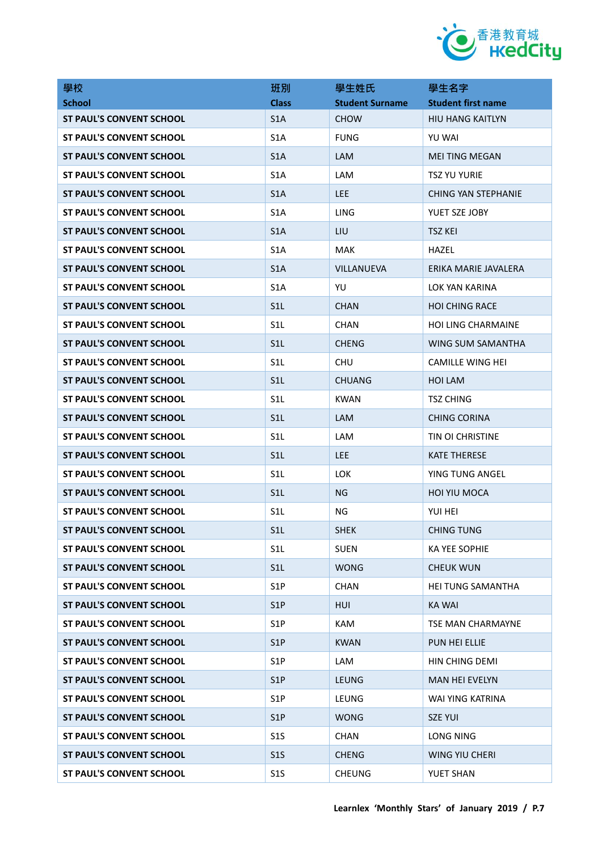

| 學校                              | 班別               | 學生姓氏                   | 學生名字                       |
|---------------------------------|------------------|------------------------|----------------------------|
| <b>School</b>                   | <b>Class</b>     | <b>Student Surname</b> | <b>Student first name</b>  |
| <b>ST PAUL'S CONVENT SCHOOL</b> | S <sub>1</sub> A | <b>CHOW</b>            | <b>HIU HANG KAITLYN</b>    |
| <b>ST PAUL'S CONVENT SCHOOL</b> | S <sub>1</sub> A | <b>FUNG</b>            | YU WAI                     |
| <b>ST PAUL'S CONVENT SCHOOL</b> | S <sub>1</sub> A | <b>LAM</b>             | <b>MEI TING MEGAN</b>      |
| <b>ST PAUL'S CONVENT SCHOOL</b> | S <sub>1</sub> A | <b>LAM</b>             | <b>TSZ YU YURIE</b>        |
| <b>ST PAUL'S CONVENT SCHOOL</b> | S <sub>1</sub> A | <b>LEE</b>             | <b>CHING YAN STEPHANIE</b> |
| <b>ST PAUL'S CONVENT SCHOOL</b> | S <sub>1</sub> A | LING                   | YUET SZE JOBY              |
| <b>ST PAUL'S CONVENT SCHOOL</b> | S <sub>1</sub> A | LIU                    | <b>TSZ KEI</b>             |
| <b>ST PAUL'S CONVENT SCHOOL</b> | S <sub>1</sub> A | MAK                    | HAZEL                      |
| <b>ST PAUL'S CONVENT SCHOOL</b> | S <sub>1</sub> A | VILLANUEVA             | ERIKA MARIE JAVALERA       |
| <b>ST PAUL'S CONVENT SCHOOL</b> | S <sub>1</sub> A | YU                     | <b>LOK YAN KARINA</b>      |
| <b>ST PAUL'S CONVENT SCHOOL</b> | S1L              | <b>CHAN</b>            | <b>HOI CHING RACE</b>      |
| <b>ST PAUL'S CONVENT SCHOOL</b> | S <sub>1</sub> L | <b>CHAN</b>            | <b>HOI LING CHARMAINE</b>  |
| <b>ST PAUL'S CONVENT SCHOOL</b> | S <sub>1</sub> L | <b>CHENG</b>           | WING SUM SAMANTHA          |
| <b>ST PAUL'S CONVENT SCHOOL</b> | S <sub>1</sub> L | <b>CHU</b>             | <b>CAMILLE WING HEI</b>    |
| <b>ST PAUL'S CONVENT SCHOOL</b> | S <sub>1</sub> L | <b>CHUANG</b>          | <b>HOI LAM</b>             |
| <b>ST PAUL'S CONVENT SCHOOL</b> | S <sub>1</sub> L | <b>KWAN</b>            | <b>TSZ CHING</b>           |
| <b>ST PAUL'S CONVENT SCHOOL</b> | S <sub>1</sub> L | <b>LAM</b>             | <b>CHING CORINA</b>        |
| <b>ST PAUL'S CONVENT SCHOOL</b> | S <sub>1</sub> L | LAM                    | TIN OI CHRISTINE           |
| <b>ST PAUL'S CONVENT SCHOOL</b> | S1L              | <b>LEE</b>             | <b>KATE THERESE</b>        |
| <b>ST PAUL'S CONVENT SCHOOL</b> | S <sub>1</sub> L | <b>LOK</b>             | YING TUNG ANGEL            |
| <b>ST PAUL'S CONVENT SCHOOL</b> | S1L              | NG                     | <b>HOI YIU MOCA</b>        |
| <b>ST PAUL'S CONVENT SCHOOL</b> | S <sub>1</sub> L | ΝG                     | YUI HEI                    |
| <b>ST PAUL'S CONVENT SCHOOL</b> | S1L              | <b>SHEK</b>            | <b>CHING TUNG</b>          |
| <b>ST PAUL'S CONVENT SCHOOL</b> | S <sub>1</sub> L | <b>SUEN</b>            | KA YEE SOPHIE              |
| <b>ST PAUL'S CONVENT SCHOOL</b> | S <sub>1</sub> L | <b>WONG</b>            | <b>CHEUK WUN</b>           |
| <b>ST PAUL'S CONVENT SCHOOL</b> | S <sub>1</sub> P | <b>CHAN</b>            | <b>HEI TUNG SAMANTHA</b>   |
| <b>ST PAUL'S CONVENT SCHOOL</b> | S <sub>1</sub> P | <b>HUI</b>             | <b>KA WAI</b>              |
| <b>ST PAUL'S CONVENT SCHOOL</b> | S <sub>1</sub> P | <b>KAM</b>             | TSE MAN CHARMAYNE          |
| <b>ST PAUL'S CONVENT SCHOOL</b> | S <sub>1</sub> P | <b>KWAN</b>            | PUN HEI ELLIE              |
| <b>ST PAUL'S CONVENT SCHOOL</b> | S <sub>1</sub> P | LAM                    | HIN CHING DEMI             |
| <b>ST PAUL'S CONVENT SCHOOL</b> | S <sub>1</sub> P | <b>LEUNG</b>           | <b>MAN HEI EVELYN</b>      |
| <b>ST PAUL'S CONVENT SCHOOL</b> | S <sub>1</sub> P | LEUNG                  | WAI YING KATRINA           |
| <b>ST PAUL'S CONVENT SCHOOL</b> | S <sub>1</sub> P | <b>WONG</b>            | <b>SZE YUI</b>             |
| <b>ST PAUL'S CONVENT SCHOOL</b> | S <sub>15</sub>  | <b>CHAN</b>            | LONG NING                  |
| <b>ST PAUL'S CONVENT SCHOOL</b> | S <sub>15</sub>  | <b>CHENG</b>           | WING YIU CHERI             |
| <b>ST PAUL'S CONVENT SCHOOL</b> | S1S              | <b>CHEUNG</b>          | YUET SHAN                  |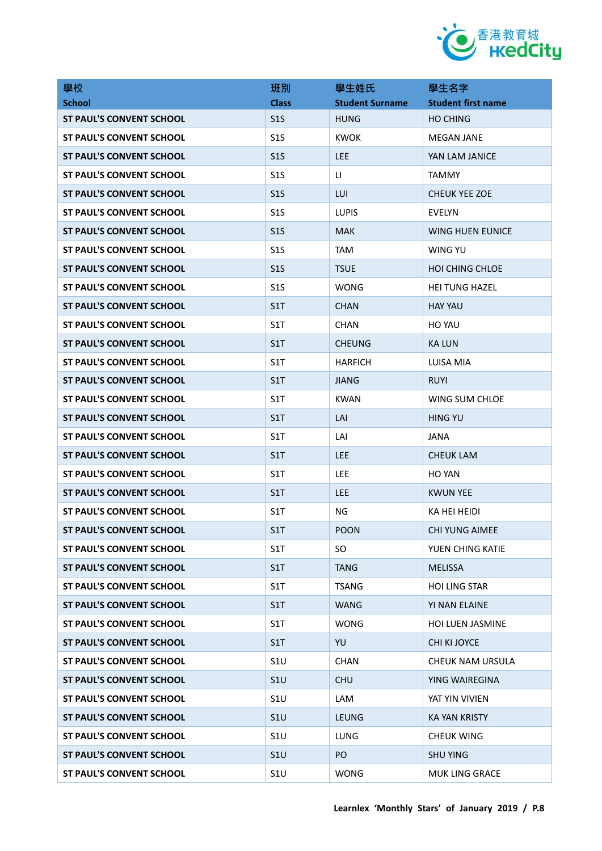

| 學校                              | 班別              | 學生姓氏                   | 學生名字                      |
|---------------------------------|-----------------|------------------------|---------------------------|
| <b>School</b>                   | <b>Class</b>    | <b>Student Surname</b> | <b>Student first name</b> |
| <b>ST PAUL'S CONVENT SCHOOL</b> | S <sub>15</sub> | <b>HUNG</b>            | <b>HO CHING</b>           |
| <b>ST PAUL'S CONVENT SCHOOL</b> | S <sub>15</sub> | <b>KWOK</b>            | <b>MEGAN JANE</b>         |
| <b>ST PAUL'S CONVENT SCHOOL</b> | S <sub>15</sub> | <b>LEE</b>             | YAN LAM JANICE            |
| <b>ST PAUL'S CONVENT SCHOOL</b> | S <sub>15</sub> | $\mathsf{H}$           | <b>TAMMY</b>              |
| <b>ST PAUL'S CONVENT SCHOOL</b> | S <sub>15</sub> | LUI                    | <b>CHEUK YEE ZOE</b>      |
| <b>ST PAUL'S CONVENT SCHOOL</b> | S <sub>15</sub> | <b>LUPIS</b>           | <b>EVELYN</b>             |
| <b>ST PAUL'S CONVENT SCHOOL</b> | S <sub>15</sub> | <b>MAK</b>             | <b>WING HUEN EUNICE</b>   |
| <b>ST PAUL'S CONVENT SCHOOL</b> | S <sub>15</sub> | <b>TAM</b>             | WING YU                   |
| <b>ST PAUL'S CONVENT SCHOOL</b> | S <sub>15</sub> | <b>TSUE</b>            | <b>HOI CHING CHLOE</b>    |
| <b>ST PAUL'S CONVENT SCHOOL</b> | S <sub>15</sub> | <b>WONG</b>            | <b>HEI TUNG HAZEL</b>     |
| <b>ST PAUL'S CONVENT SCHOOL</b> | S1T             | <b>CHAN</b>            | <b>HAY YAU</b>            |
| <b>ST PAUL'S CONVENT SCHOOL</b> | S1T             | <b>CHAN</b>            | HO YAU                    |
| <b>ST PAUL'S CONVENT SCHOOL</b> | S1T             | <b>CHEUNG</b>          | <b>KA LUN</b>             |
| <b>ST PAUL'S CONVENT SCHOOL</b> | S1T             | <b>HARFICH</b>         | LUISA MIA                 |
| <b>ST PAUL'S CONVENT SCHOOL</b> | S1T             | <b>JIANG</b>           | <b>RUYI</b>               |
| <b>ST PAUL'S CONVENT SCHOOL</b> | S1T             | <b>KWAN</b>            | WING SUM CHLOE            |
| <b>ST PAUL'S CONVENT SCHOOL</b> | S1T             | LAI                    | <b>HING YU</b>            |
| <b>ST PAUL'S CONVENT SCHOOL</b> | S1T             | LAI                    | JANA                      |
| <b>ST PAUL'S CONVENT SCHOOL</b> | S1T             | <b>LEE</b>             | <b>CHEUK LAM</b>          |
| <b>ST PAUL'S CONVENT SCHOOL</b> | S1T             | <b>LEE</b>             | HO YAN                    |
| <b>ST PAUL'S CONVENT SCHOOL</b> | S1T             | <b>LEE</b>             | <b>KWUN YEE</b>           |
| <b>ST PAUL'S CONVENT SCHOOL</b> | S1T             | <b>NG</b>              | KA HEI HEIDI              |
| ST PAUL'S CONVENT SCHOOL        | S1T             | <b>POON</b>            | CHI YUNG AIMEE            |
| <b>ST PAUL'S CONVENT SCHOOL</b> | S1T             | SO.                    | YUEN CHING KATIE          |
| <b>ST PAUL'S CONVENT SCHOOL</b> | S1T             | <b>TANG</b>            | <b>MELISSA</b>            |
| <b>ST PAUL'S CONVENT SCHOOL</b> | S1T             | <b>TSANG</b>           | <b>HOI LING STAR</b>      |
| <b>ST PAUL'S CONVENT SCHOOL</b> | S1T             | <b>WANG</b>            | <b>YI NAN ELAINE</b>      |
| <b>ST PAUL'S CONVENT SCHOOL</b> | S1T             | <b>WONG</b>            | <b>HOI LUEN JASMINE</b>   |
| <b>ST PAUL'S CONVENT SCHOOL</b> | S1T             | YU                     | CHI KI JOYCE              |
| <b>ST PAUL'S CONVENT SCHOOL</b> | S1U             | <b>CHAN</b>            | <b>CHEUK NAM URSULA</b>   |
| <b>ST PAUL'S CONVENT SCHOOL</b> | S1U             | <b>CHU</b>             | YING WAIREGINA            |
| <b>ST PAUL'S CONVENT SCHOOL</b> | S1U             | LAM                    | YAT YIN VIVIEN            |
| <b>ST PAUL'S CONVENT SCHOOL</b> | S1U             | LEUNG                  | <b>KA YAN KRISTY</b>      |
| <b>ST PAUL'S CONVENT SCHOOL</b> | S1U             | <b>LUNG</b>            | <b>CHEUK WING</b>         |
| <b>ST PAUL'S CONVENT SCHOOL</b> | S1U             | PO                     | <b>SHU YING</b>           |
| <b>ST PAUL'S CONVENT SCHOOL</b> | S1U             | <b>WONG</b>            | MUK LING GRACE            |